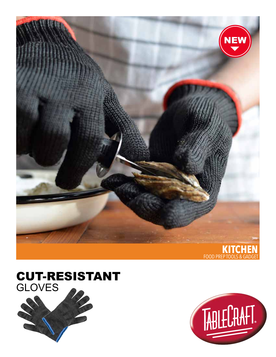